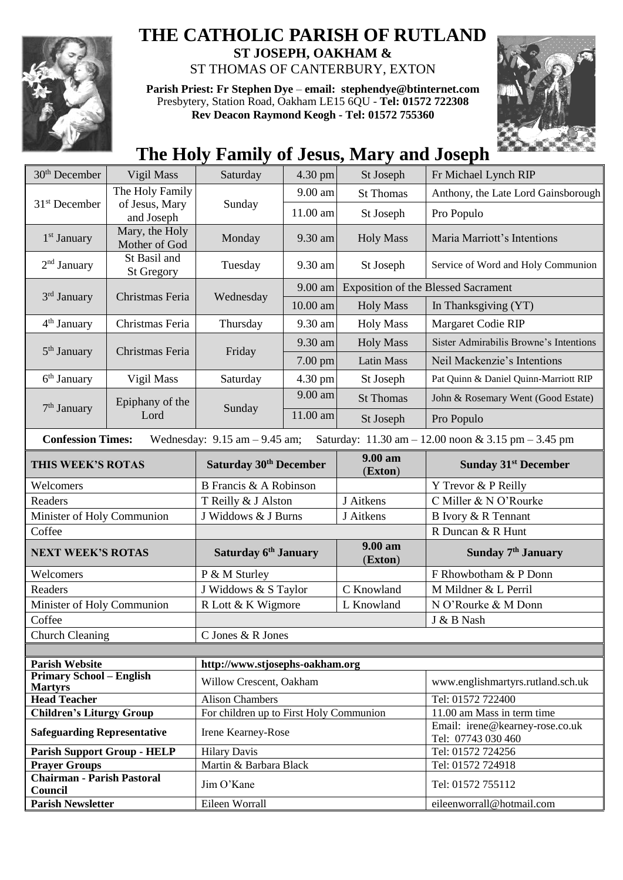

## **THE CATHOLIC PARISH OF RUTLAND ST JOSEPH, OAKHAM &**

ST THOMAS OF CANTERBURY, EXTON

**Parish Priest: Fr Stephen Dye** – **[email: stephendye@btinternet.com](mailto:email:%20%20stephendye@btinternet.com)** Presbytery, Station Road, Oakham LE15 6QU - **Tel: 01572 722308 Rev Deacon Raymond Keogh - Tel: 01572 755360**



## **The Holy Family of Jesus, Mary and Joseph**

| 30 <sup>th</sup> December                                                                                            | Vigil Mass                        | Saturday                                | 4.30 pm           | St Joseph             | Fr Michael Lynch RIP                                  |  |  |
|----------------------------------------------------------------------------------------------------------------------|-----------------------------------|-----------------------------------------|-------------------|-----------------------|-------------------------------------------------------|--|--|
| 31 <sup>st</sup> December                                                                                            | The Holy Family                   | Sunday                                  | 9.00 am           | <b>St Thomas</b>      | Anthony, the Late Lord Gainsborough                   |  |  |
|                                                                                                                      | of Jesus, Mary<br>and Joseph      |                                         | 11.00 am          | St Joseph             | Pro Populo                                            |  |  |
| 1 <sup>st</sup> January                                                                                              | Mary, the Holy<br>Mother of God   | Monday                                  | 9.30 am           | <b>Holy Mass</b>      | Maria Marriott's Intentions                           |  |  |
| $2nd$ January                                                                                                        | St Basil and<br><b>St Gregory</b> | Tuesday                                 | 9.30 am           | St Joseph             | Service of Word and Holy Communion                    |  |  |
| 3 <sup>rd</sup> January                                                                                              | Christmas Feria                   | Wednesday                               | 9.00 am           |                       | <b>Exposition of the Blessed Sacrament</b>            |  |  |
|                                                                                                                      |                                   |                                         | $10.00$ am        | <b>Holy Mass</b>      | In Thanksgiving (YT)                                  |  |  |
| 4 <sup>th</sup> January                                                                                              | Christmas Feria                   | Thursday                                | 9.30 am           | <b>Holy Mass</b>      | Margaret Codie RIP                                    |  |  |
| 5 <sup>th</sup> January                                                                                              | Christmas Feria                   | Friday                                  | 9.30 am           | <b>Holy Mass</b>      | Sister Admirabilis Browne's Intentions                |  |  |
|                                                                                                                      |                                   |                                         | $7.00 \text{ pm}$ | Latin Mass            | Neil Mackenzie's Intentions                           |  |  |
| 6 <sup>th</sup> January                                                                                              | Vigil Mass                        | Saturday                                | 4.30 pm           | St Joseph             | Pat Quinn & Daniel Quinn-Marriott RIP                 |  |  |
| 7 <sup>th</sup> January                                                                                              | Epiphany of the<br>Lord           | Sunday                                  | 9.00 am           | <b>St Thomas</b>      | John & Rosemary Went (Good Estate)                    |  |  |
|                                                                                                                      |                                   |                                         | 11.00 am          | St Joseph             | Pro Populo                                            |  |  |
| <b>Confession Times:</b><br>Wednesday: $9.15$ am $- 9.45$ am;<br>Saturday: 11.30 am - 12.00 noon & 3.15 pm - 3.45 pm |                                   |                                         |                   |                       |                                                       |  |  |
| THIS WEEK'S ROTAS                                                                                                    |                                   | Saturday 30 <sup>th</sup> December      |                   | $9.00$ am<br>(Exton)  | Sunday 31 <sup>st</sup> December                      |  |  |
| Welcomers                                                                                                            |                                   | B Francis & A Robinson                  |                   |                       | Y Trevor & P Reilly                                   |  |  |
| Readers                                                                                                              |                                   | T Reilly & J Alston                     |                   | J Aitkens             | C Miller & N O'Rourke                                 |  |  |
| Minister of Holy Communion                                                                                           |                                   | J Widdows & J Burns                     |                   | J Aitkens             | B Ivory & R Tennant                                   |  |  |
| Coffee                                                                                                               |                                   |                                         |                   |                       | R Duncan & R Hunt                                     |  |  |
| <b>NEXT WEEK'S ROTAS</b>                                                                                             |                                   | Saturday 6 <sup>th</sup> January        |                   | $9.00 a$ m<br>(Exton) | Sunday 7 <sup>th</sup> January                        |  |  |
| Welcomers                                                                                                            |                                   | P & M Sturley                           |                   |                       | F Rhowbotham & P Donn                                 |  |  |
| Readers                                                                                                              |                                   | J Widdows & S Taylor                    |                   | C Knowland            | M Mildner & L Perril                                  |  |  |
| Minister of Holy Communion                                                                                           |                                   | R Lott & K Wigmore                      |                   | L Knowland            | N O'Rourke & M Donn                                   |  |  |
| Coffee                                                                                                               |                                   |                                         |                   |                       | J & B Nash                                            |  |  |
| <b>Church Cleaning</b>                                                                                               |                                   | C Jones & R Jones                       |                   |                       |                                                       |  |  |
|                                                                                                                      |                                   |                                         |                   |                       |                                                       |  |  |
| <b>Parish Website</b>                                                                                                |                                   | http://www.stjosephs-oakham.org         |                   |                       |                                                       |  |  |
| <b>Primary School - English</b><br><b>Martyrs</b>                                                                    |                                   | Willow Crescent, Oakham                 |                   |                       | www.englishmartyrs.rutland.sch.uk                     |  |  |
| <b>Head Teacher</b>                                                                                                  |                                   | <b>Alison Chambers</b>                  |                   |                       | Tel: 01572 722400                                     |  |  |
| <b>Children's Liturgy Group</b>                                                                                      |                                   | For children up to First Holy Communion |                   |                       | 11.00 am Mass in term time                            |  |  |
| <b>Safeguarding Representative</b>                                                                                   |                                   | Irene Kearney-Rose                      |                   |                       | Email: irene@kearney-rose.co.uk<br>Tel: 07743 030 460 |  |  |
| <b>Parish Support Group - HELP</b>                                                                                   |                                   | <b>Hilary Davis</b>                     |                   |                       | Tel: 01572 724256                                     |  |  |
| <b>Prayer Groups</b>                                                                                                 |                                   | Martin & Barbara Black                  |                   |                       | Tel: 01572 724918                                     |  |  |
| <b>Chairman - Parish Pastoral</b><br>Council                                                                         |                                   | Jim O'Kane                              |                   |                       | Tel: 01572 755112                                     |  |  |
| <b>Parish Newsletter</b>                                                                                             |                                   | Eileen Worrall                          |                   |                       | eileenworrall@hotmail.com                             |  |  |